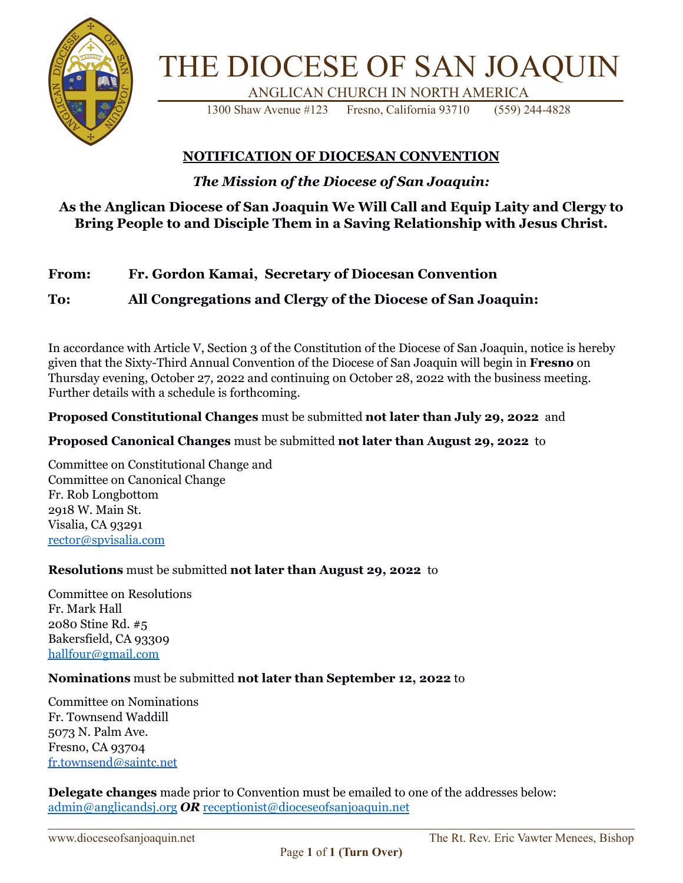

# THE DIOCESE OF SAN JOAQUIN ANGLICAN CHURCH IN NORTH AMERICA

1300 Shaw Avenue #123 Fresno, California 93710 (559) 244-4828

### **NOTIFICATION OF DIOCESAN CONVENTION**

*The Mission of the Diocese of San Joaquin:*

### **As the Anglican Diocese of San Joaquin We Will Call and Equip Laity and Clergy to Bring People to and Disciple Them in a Saving Relationship with Jesus Christ.**

#### **From: Fr. Gordon Kamai, Secretary of Diocesan Convention**

### **To: All Congregations and Clergy of the Diocese of San Joaquin:**

In accordance with Article V, Section 3 of the Constitution of the Diocese of San Joaquin, notice is hereby given that the Sixty-Third Annual Convention of the Diocese of San Joaquin will begin in **Fresno** on Thursday evening, October 27, 2022 and continuing on October 28, 2022 with the business meeting. Further details with a schedule is forthcoming.

#### **Proposed Constitutional Changes** must be submitted **not later than July 29, 2022** and

#### **Proposed Canonical Changes** must be submitted **not later than August 29, 2022** to

Committee on Constitutional Change and Committee on Canonical Change Fr. Rob Longbottom 2918 W. Main St. Visalia, CA 93291 [rector@spvisalia.com](mailto:rector@spvisalia.com)

#### **Resolutions** must be submitted **not later than August 29, 2022** to

Committee on Resolutions Fr. Mark Hall 2080 Stine Rd. #5 Bakersfield, CA 93309 [hallfour@gmail.com](mailto:hallfour@gmail.com)

#### **Nominations** must be submitted **not later than September 12, 2022** to

Committee on Nominations Fr. Townsend Waddill 5073 N. Palm Ave. Fresno, CA 93704 [fr.townsend@saintc.net](mailto:fr.townsend@saintc.net)

**Delegate changes** made prior to Convention must be emailed to one of the addresses below: admin@anglicandsj.org *OR* receptionist@dioceseofsanjoaquin.net